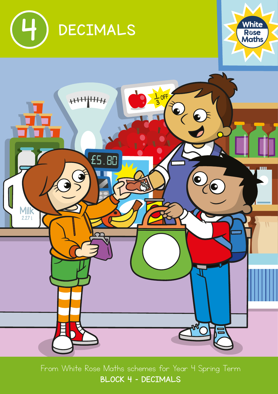





From White Rose Maths schemes for Year 4 Spring Term BLOCK 4 - DECIMALS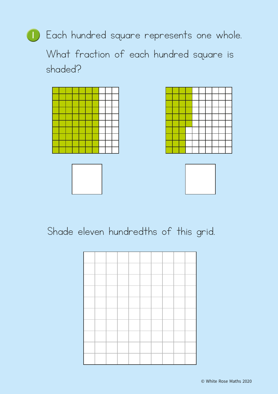

What fraction of each hundred square is shaded?



## Shade eleven hundredths of this grid.

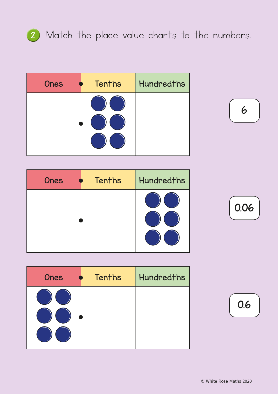

## 2 Match the place value charts to the numbers.

| <b>Ones</b> | <b>Tenths</b> | <b>Hundredths</b> |
|-------------|---------------|-------------------|
|             |               |                   |



| <b>Ones</b> | <b>Tenths</b> | <b>Hundredths</b> |
|-------------|---------------|-------------------|
|             |               |                   |
|             |               |                   |
|             |               |                   |

| <b>Ones</b> | <b>Tenths</b> | <b>Hundredths</b> |
|-------------|---------------|-------------------|
|             |               |                   |



0.6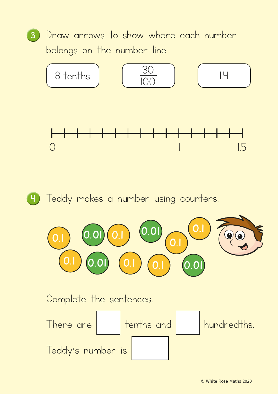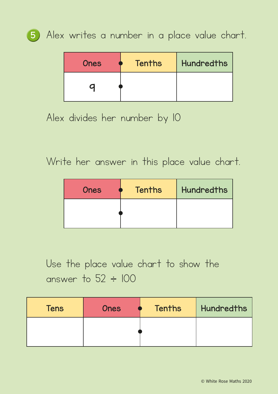

<sup>5</sup> Alex writes a number in a place value chart.

| <b>Ones</b> | Tenths | <b>Hundredths</b> |
|-------------|--------|-------------------|
|             |        |                   |

Alex divides her number by 10

Write her answer in this place value chart.

| <b>Ones</b> | <b>Tenths</b> | <b>Hundredths</b> |
|-------------|---------------|-------------------|
|             |               |                   |

Use the place value chart to show the answer to  $52 \div 100$ 

| <b>Tens</b> | <b>Ones</b> | <b>Tenths</b> | Hundredths |
|-------------|-------------|---------------|------------|
|             |             |               |            |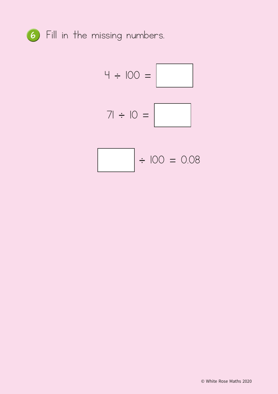

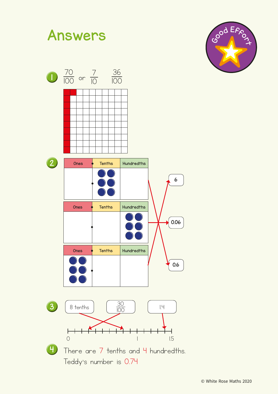